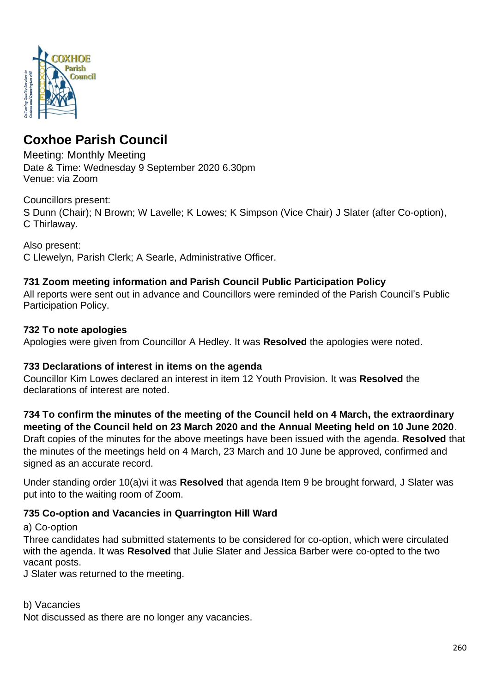

# **Coxhoe Parish Council**

Meeting: Monthly Meeting Date & Time: Wednesday 9 September 2020 6.30pm Venue: via Zoom

# Councillors present:

S Dunn (Chair); N Brown; W Lavelle; K Lowes; K Simpson (Vice Chair) J Slater (after Co-option), C Thirlaway.

Also present:

C Llewelyn, Parish Clerk; A Searle, Administrative Officer.

# **731 Zoom meeting information and Parish Council Public Participation Policy**

All reports were sent out in advance and Councillors were reminded of the Parish Council's Public Participation Policy.

### **732 To note apologies**

Apologies were given from Councillor A Hedley. It was **Resolved** the apologies were noted.

### **733 Declarations of interest in items on the agenda**

Councillor Kim Lowes declared an interest in item 12 Youth Provision. It was **Resolved** the declarations of interest are noted.

**734 To confirm the minutes of the meeting of the Council held on 4 March, the extraordinary meeting of the Council held on 23 March 2020 and the Annual Meeting held on 10 June 2020**.

Draft copies of the minutes for the above meetings have been issued with the agenda. **Resolved** that the minutes of the meetings held on 4 March, 23 March and 10 June be approved, confirmed and signed as an accurate record.

Under standing order 10(a)vi it was **Resolved** that agenda Item 9 be brought forward, J Slater was put into to the waiting room of Zoom.

# **735 Co-option and Vacancies in Quarrington Hill Ward**

a) Co-option

Three candidates had submitted statements to be considered for co-option, which were circulated with the agenda. It was **Resolved** that Julie Slater and Jessica Barber were co-opted to the two vacant posts.

J Slater was returned to the meeting.

b) Vacancies

Not discussed as there are no longer any vacancies.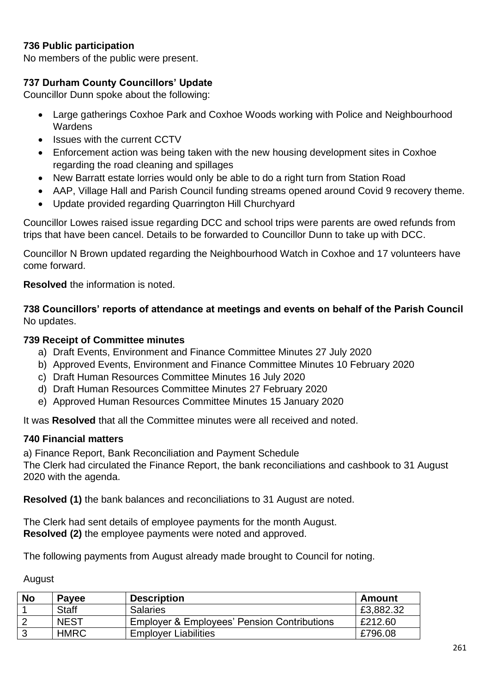# **736 Public participation**

No members of the public were present.

# **737 Durham County Councillors' Update**

Councillor Dunn spoke about the following:

- Large gatherings Coxhoe Park and Coxhoe Woods working with Police and Neighbourhood **Wardens**
- Issues with the current CCTV
- Enforcement action was being taken with the new housing development sites in Coxhoe regarding the road cleaning and spillages
- New Barratt estate lorries would only be able to do a right turn from Station Road
- AAP, Village Hall and Parish Council funding streams opened around Covid 9 recovery theme.
- Update provided regarding Quarrington Hill Churchyard

Councillor Lowes raised issue regarding DCC and school trips were parents are owed refunds from trips that have been cancel. Details to be forwarded to Councillor Dunn to take up with DCC.

Councillor N Brown updated regarding the Neighbourhood Watch in Coxhoe and 17 volunteers have come forward.

**Resolved** the information is noted.

**738 Councillors' reports of attendance at meetings and events on behalf of the Parish Council** No updates.

#### **739 Receipt of Committee minutes**

- a) Draft Events, Environment and Finance Committee Minutes 27 July 2020
- b) Approved Events, Environment and Finance Committee Minutes 10 February 2020
- c) Draft Human Resources Committee Minutes 16 July 2020
- d) Draft Human Resources Committee Minutes 27 February 2020
- e) Approved Human Resources Committee Minutes 15 January 2020

It was **Resolved** that all the Committee minutes were all received and noted.

#### **740 Financial matters**

a) Finance Report, Bank Reconciliation and Payment Schedule The Clerk had circulated the Finance Report, the bank reconciliations and cashbook to 31 August 2020 with the agenda.

**Resolved (1)** the bank balances and reconciliations to 31 August are noted.

The Clerk had sent details of employee payments for the month August. **Resolved (2)** the employee payments were noted and approved.

The following payments from August already made brought to Council for noting.

August

| <b>No</b> | <b>Payee</b> | <b>Description</b>                                     | Amount    |
|-----------|--------------|--------------------------------------------------------|-----------|
|           | <b>Staff</b> | <b>Salaries</b>                                        | £3,882.32 |
|           | <b>NEST</b>  | <b>Employer &amp; Employees' Pension Contributions</b> | £212.60   |
|           | <b>HMRC</b>  | <b>Employer Liabilities</b>                            | £796.08   |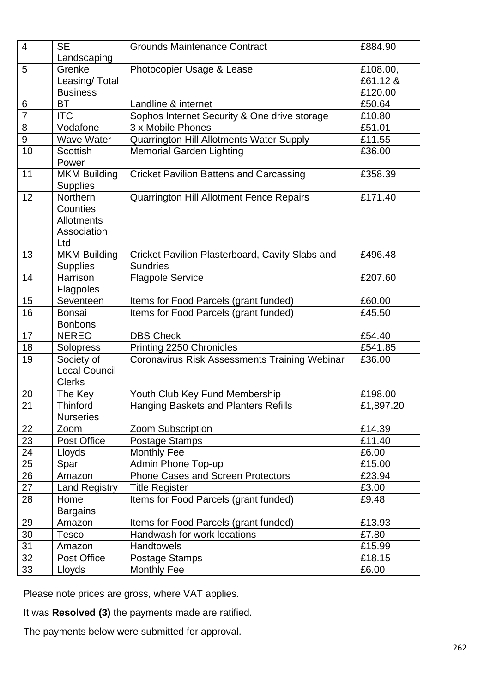| 4              | <b>SE</b>                              | <b>Grounds Maintenance Contract</b>             | £884.90   |
|----------------|----------------------------------------|-------------------------------------------------|-----------|
|                | Landscaping                            |                                                 |           |
| 5              | Grenke                                 | Photocopier Usage & Lease                       | £108.00,  |
|                | Leasing/Total                          |                                                 | £61.12 &  |
|                | <b>Business</b>                        |                                                 | £120.00   |
| 6              | <b>BT</b>                              | Landline & internet                             |           |
| $\overline{7}$ | <b>ITC</b>                             | Sophos Internet Security & One drive storage    | £10.80    |
| 8              | Vodafone                               | 3 x Mobile Phones                               | £51.01    |
| $\overline{9}$ | <b>Wave Water</b>                      | Quarrington Hill Allotments Water Supply        | £11.55    |
| 10             | <b>Scottish</b>                        | <b>Memorial Garden Lighting</b>                 | £36.00    |
|                | Power                                  |                                                 |           |
| 11             | <b>MKM Building</b><br><b>Supplies</b> | <b>Cricket Pavilion Battens and Carcassing</b>  | £358.39   |
| 12             | Northern                               | Quarrington Hill Allotment Fence Repairs        | £171.40   |
|                | Counties                               |                                                 |           |
|                | <b>Allotments</b>                      |                                                 |           |
|                | Association                            |                                                 |           |
|                | Ltd                                    |                                                 |           |
| 13             | <b>MKM Building</b>                    | Cricket Pavilion Plasterboard, Cavity Slabs and | £496.48   |
|                | <b>Supplies</b>                        | <b>Sundries</b>                                 |           |
| 14             | Harrison                               | <b>Flagpole Service</b>                         | £207.60   |
|                | <b>Flagpoles</b>                       |                                                 |           |
| 15             | Seventeen                              | Items for Food Parcels (grant funded)           | £60.00    |
| 16             | <b>Bonsai</b>                          | Items for Food Parcels (grant funded)           | £45.50    |
|                | <b>Bonbons</b>                         |                                                 |           |
| 17             | <b>NEREO</b>                           | <b>DBS Check</b>                                | £54.40    |
| 18             | Solopress                              | Printing 2250 Chronicles                        | £541.85   |
| 19             | Society of                             | Coronavirus Risk Assessments Training Webinar   | £36.00    |
|                | <b>Local Council</b>                   |                                                 |           |
| 20             | <b>Clerks</b>                          | Youth Club Key Fund Membership                  | £198.00   |
| 21             | The Key<br><b>Thinford</b>             | Hanging Baskets and Planters Refills            |           |
|                | <b>Nurseries</b>                       |                                                 | £1,897.20 |
| 22             | Zoom                                   | Zoom Subscription                               | £14.39    |
| 23             | Post Office                            | Postage Stamps                                  | £11.40    |
| 24             | <b>Monthly Fee</b><br>Lloyds           |                                                 | £6.00     |
| 25             | Spar                                   | Admin Phone Top-up                              | £15.00    |
| 26             | Amazon                                 | Phone Cases and Screen Protectors               | £23.94    |
| 27             | <b>Land Registry</b>                   | <b>Title Register</b>                           | £3.00     |
| 28             | Home                                   | Items for Food Parcels (grant funded)           | £9.48     |
|                | <b>Bargains</b>                        |                                                 |           |
| 29             | Amazon                                 | Items for Food Parcels (grant funded)           | £13.93    |
| 30             | Tesco                                  | Handwash for work locations                     | £7.80     |
| 31             | Amazon                                 | <b>Handtowels</b>                               | £15.99    |
| 32             | Post Office                            | Postage Stamps                                  | £18.15    |
|                | Lloyds<br><b>Monthly Fee</b>           |                                                 | £6.00     |

Please note prices are gross, where VAT applies.

It was **Resolved (3)** the payments made are ratified.

The payments below were submitted for approval.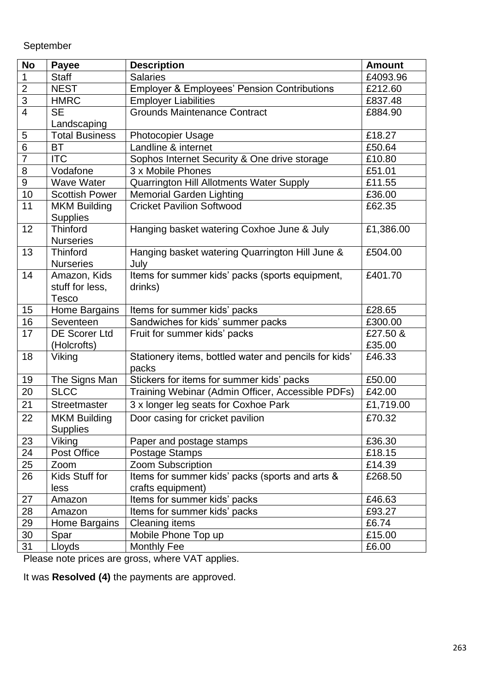September

| <b>No</b>        | <b>Payee</b>          | <b>Description</b>                                     | <b>Amount</b> |
|------------------|-----------------------|--------------------------------------------------------|---------------|
| 1                | <b>Staff</b>          | <b>Salaries</b>                                        | £4093.96      |
| $\overline{2}$   | <b>NEST</b>           | <b>Employer &amp; Employees' Pension Contributions</b> | £212.60       |
| 3                | <b>HMRC</b>           | <b>Employer Liabilities</b>                            | £837.48       |
| $\overline{4}$   | <b>SE</b>             | <b>Grounds Maintenance Contract</b>                    | £884.90       |
|                  | Landscaping           |                                                        |               |
| 5                | <b>Total Business</b> | <b>Photocopier Usage</b>                               | £18.27        |
| $\overline{6}$   | ВT                    | Landline & internet                                    | £50.64        |
| $\overline{7}$   | <b>ITC</b>            | Sophos Internet Security & One drive storage           | £10.80        |
| 8                | Vodafone              | 3 x Mobile Phones                                      | £51.01        |
| $\boldsymbol{9}$ | Wave Water            | Quarrington Hill Allotments Water Supply               | £11.55        |
| 10               | <b>Scottish Power</b> | <b>Memorial Garden Lighting</b>                        | £36.00        |
| 11               | <b>MKM Building</b>   | <b>Cricket Pavilion Softwood</b>                       | £62.35        |
|                  | <b>Supplies</b>       |                                                        |               |
| 12               | <b>Thinford</b>       | Hanging basket watering Coxhoe June & July             | £1,386.00     |
|                  | <b>Nurseries</b>      |                                                        |               |
| 13               | <b>Thinford</b>       | Hanging basket watering Quarrington Hill June &        | £504.00       |
|                  | <b>Nurseries</b>      | July                                                   |               |
| 14               | Amazon, Kids          | Items for summer kids' packs (sports equipment,        | £401.70       |
|                  | stuff for less,       | drinks)                                                |               |
|                  | <b>Tesco</b>          |                                                        |               |
| 15               | Home Bargains         | Items for summer kids' packs                           | £28.65        |
| 16               | Seventeen             | Sandwiches for kids' summer packs                      | £300.00       |
| 17               | <b>DE Scorer Ltd</b>  | Fruit for summer kids' packs                           | £27.50 &      |
|                  | (Holcrofts)           |                                                        | £35.00        |
| 18               | Viking                | Stationery items, bottled water and pencils for kids'  | £46.33        |
|                  |                       | packs                                                  |               |
| 19               | The Signs Man         | Stickers for items for summer kids' packs              | £50.00        |
| 20               | <b>SLCC</b>           | Training Webinar (Admin Officer, Accessible PDFs)      | £42.00        |
| 21               | Streetmaster          | 3 x longer leg seats for Coxhoe Park                   | £1,719.00     |
| 22               | <b>MKM Building</b>   | Door casing for cricket pavilion                       | £70.32        |
|                  | <b>Supplies</b>       |                                                        |               |
| 23               | Viking                | Paper and postage stamps                               | £36.30        |
| 24               | Post Office           | Postage Stamps                                         | £18.15        |
| 25               | Zoom                  | Zoom Subscription                                      | £14.39        |
| 26               | Kids Stuff for        | Items for summer kids' packs (sports and arts &        | £268.50       |
|                  | less                  | crafts equipment)                                      |               |
| 27               | Amazon                | Items for summer kids' packs                           | £46.63        |
| 28               | Amazon                | Items for summer kids' packs                           | £93.27        |
| 29               | Home Bargains         | <b>Cleaning items</b>                                  | £6.74         |
| 30               | Spar                  | Mobile Phone Top up                                    | £15.00        |
| 31               | Lloyds                | <b>Monthly Fee</b>                                     | £6.00         |

Please note prices are gross, where VAT applies.

It was **Resolved (4)** the payments are approved.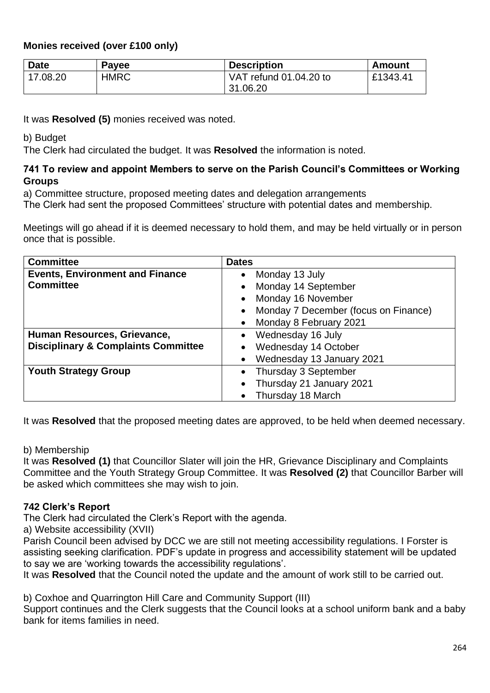# **Monies received (over £100 only)**

| <b>Date</b> | <b>Payee</b> | <b>Description</b>     | Amount   |
|-------------|--------------|------------------------|----------|
| 17.08.20    | <b>HMRC</b>  | VAT refund 01.04.20 to | £1343.41 |
|             |              | 31.06.20               |          |

It was **Resolved (5)** monies received was noted.

b) Budget

The Clerk had circulated the budget. It was **Resolved** the information is noted.

### **741 To review and appoint Members to serve on the Parish Council's Committees or Working Groups**

a) Committee structure, proposed meeting dates and delegation arrangements

The Clerk had sent the proposed Committees' structure with potential dates and membership.

Meetings will go ahead if it is deemed necessary to hold them, and may be held virtually or in person once that is possible.

| <b>Committee</b>                               | <b>Dates</b>                         |
|------------------------------------------------|--------------------------------------|
| <b>Events, Environment and Finance</b>         | Monday 13 July<br>$\bullet$          |
| <b>Committee</b>                               | Monday 14 September                  |
|                                                | Monday 16 November                   |
|                                                | Monday 7 December (focus on Finance) |
|                                                | Monday 8 February 2021               |
| Human Resources, Grievance,                    | Wednesday 16 July                    |
| <b>Disciplinary &amp; Complaints Committee</b> | Wednesday 14 October                 |
|                                                | Wednesday 13 January 2021            |
| <b>Youth Strategy Group</b>                    | Thursday 3 September                 |
|                                                | Thursday 21 January 2021             |
|                                                | Thursday 18 March                    |

It was **Resolved** that the proposed meeting dates are approved, to be held when deemed necessary.

#### b) Membership

It was **Resolved (1)** that Councillor Slater will join the HR, Grievance Disciplinary and Complaints Committee and the Youth Strategy Group Committee. It was **Resolved (2)** that Councillor Barber will be asked which committees she may wish to join.

### **742 Clerk's Report**

The Clerk had circulated the Clerk's Report with the agenda.

a) Website accessibility (XVII)

Parish Council been advised by DCC we are still not meeting accessibility regulations. I Forster is assisting seeking clarification. PDF's update in progress and accessibility statement will be updated to say we are 'working towards the accessibility regulations'.

It was **Resolved** that the Council noted the update and the amount of work still to be carried out.

b) Coxhoe and Quarrington Hill Care and Community Support (III)

Support continues and the Clerk suggests that the Council looks at a school uniform bank and a baby bank for items families in need.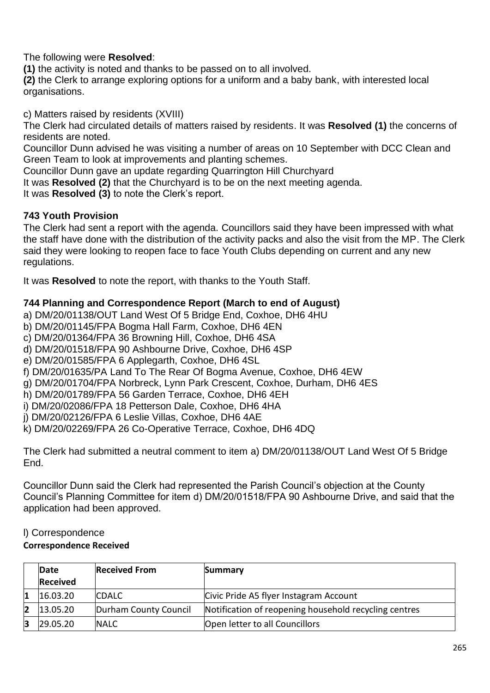The following were **Resolved**:

**(1)** the activity is noted and thanks to be passed on to all involved.

**(2)** the Clerk to arrange exploring options for a uniform and a baby bank, with interested local organisations.

c) Matters raised by residents (XVIII)

The Clerk had circulated details of matters raised by residents. It was **Resolved (1)** the concerns of residents are noted.

Councillor Dunn advised he was visiting a number of areas on 10 September with DCC Clean and Green Team to look at improvements and planting schemes.

Councillor Dunn gave an update regarding Quarrington Hill Churchyard

It was **Resolved (2)** that the Churchyard is to be on the next meeting agenda.

It was **Resolved (3)** to note the Clerk's report.

# **743 Youth Provision**

The Clerk had sent a report with the agenda. Councillors said they have been impressed with what the staff have done with the distribution of the activity packs and also the visit from the MP. The Clerk said they were looking to reopen face to face Youth Clubs depending on current and any new regulations.

It was **Resolved** to note the report, with thanks to the Youth Staff.

# **744 Planning and Correspondence Report (March to end of August)**

a) DM/20/01138/OUT Land West Of 5 Bridge End, Coxhoe, DH6 4HU

b) DM/20/01145/FPA Bogma Hall Farm, Coxhoe, DH6 4EN

c) DM/20/01364/FPA 36 Browning Hill, Coxhoe, DH6 4SA

- d) DM/20/01518/FPA 90 Ashbourne Drive, Coxhoe, DH6 4SP
- e) DM/20/01585/FPA 6 Applegarth, Coxhoe, DH6 4SL
- f) DM/20/01635/PA Land To The Rear Of Bogma Avenue, Coxhoe, DH6 4EW
- g) DM/20/01704/FPA Norbreck, Lynn Park Crescent, Coxhoe, Durham, DH6 4ES
- h) DM/20/01789/FPA 56 Garden Terrace, Coxhoe, DH6 4EH
- i) DM/20/02086/FPA 18 Petterson Dale, Coxhoe, DH6 4HA

j) DM/20/02126/FPA 6 Leslie Villas, Coxhoe, DH6 4AE

k) DM/20/02269/FPA 26 Co-Operative Terrace, Coxhoe, DH6 4DQ

The Clerk had submitted a neutral comment to item a) DM/20/01138/OUT Land West Of 5 Bridge End.

Councillor Dunn said the Clerk had represented the Parish Council's objection at the County Council's Planning Committee for item d) DM/20/01518/FPA 90 Ashbourne Drive, and said that the application had been approved.

# l) Correspondence

# **Correspondence Received**

|    | Date            | <b>Received From</b>  | Summary                                               |
|----|-----------------|-----------------------|-------------------------------------------------------|
|    | <b>Received</b> |                       |                                                       |
|    | 16.03.20        | <b>CDALC</b>          | Civic Pride A5 flyer Instagram Account                |
| 2  | 13.05.20        | Durham County Council | Notification of reopening household recycling centres |
| 13 | 29.05.20        | <b>NALC</b>           | Open letter to all Councillors                        |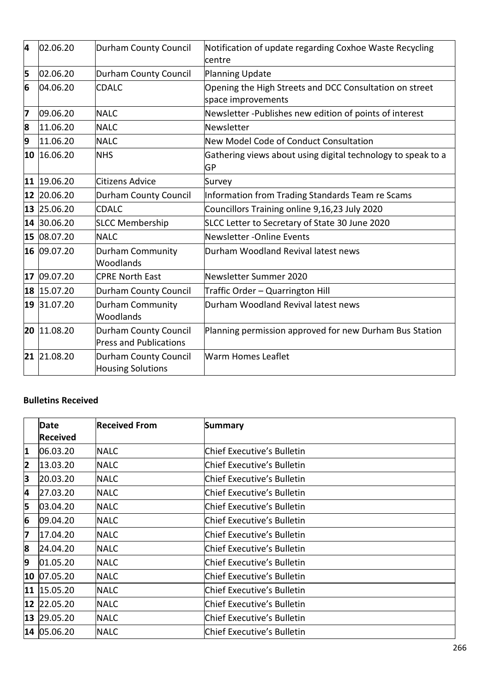| 4  | 02.06.20    | <b>Durham County Council</b>                                  | Notification of update regarding Coxhoe Waste Recycling<br>lcentre            |
|----|-------------|---------------------------------------------------------------|-------------------------------------------------------------------------------|
| 5  | 02.06.20    | Durham County Council                                         | Planning Update                                                               |
| 6  | 04.06.20    | <b>CDALC</b>                                                  | Opening the High Streets and DCC Consultation on street<br>space improvements |
| 7  | 09.06.20    | <b>NALC</b>                                                   | Newsletter -Publishes new edition of points of interest                       |
| 8  | 11.06.20    | <b>NALC</b>                                                   | Newsletter                                                                    |
| 9  | 11.06.20    | <b>NALC</b>                                                   | New Model Code of Conduct Consultation                                        |
|    | 10 16.06.20 | <b>NHS</b>                                                    | Gathering views about using digital technology to speak to a<br>GP            |
|    | 11 19.06.20 | <b>Citizens Advice</b>                                        | Survey                                                                        |
|    | 12 20.06.20 | <b>Durham County Council</b>                                  | Information from Trading Standards Team re Scams                              |
|    | 13 25.06.20 | <b>CDALC</b>                                                  | Councillors Training online 9,16,23 July 2020                                 |
|    | 14 30.06.20 | <b>SLCC Membership</b>                                        | SLCC Letter to Secretary of State 30 June 2020                                |
|    | 15 08.07.20 | <b>NALC</b>                                                   | Newsletter -Online Events                                                     |
|    | 16 09.07.20 | Durham Community<br>Woodlands                                 | Durham Woodland Revival latest news                                           |
| 17 | 09.07.20    | <b>CPRE North East</b>                                        | Newsletter Summer 2020                                                        |
|    | 18 15.07.20 | Durham County Council                                         | Traffic Order - Quarrington Hill                                              |
|    | 19 31.07.20 | <b>Durham Community</b><br>Woodlands                          | Durham Woodland Revival latest news                                           |
|    | 20 11.08.20 | <b>Durham County Council</b><br><b>Press and Publications</b> | Planning permission approved for new Durham Bus Station                       |
|    | 21 21.08.20 | <b>Durham County Council</b><br><b>Housing Solutions</b>      | Warm Homes Leaflet                                                            |

#### **Bulletins Received**

|                         | <b>Date</b>     | <b>Received From</b> | <b>Summary</b>             |
|-------------------------|-----------------|----------------------|----------------------------|
|                         | <b>Received</b> |                      |                            |
| 1                       | 06.03.20        | <b>NALC</b>          | Chief Executive's Bulletin |
| $\overline{\mathbf{2}}$ | 13.03.20        | <b>NALC</b>          | Chief Executive's Bulletin |
| 3                       | 20.03.20        | <b>NALC</b>          | Chief Executive's Bulletin |
| 4                       | 27.03.20        | <b>NALC</b>          | Chief Executive's Bulletin |
| 5                       | 03.04.20        | <b>NALC</b>          | Chief Executive's Bulletin |
| 6                       | 09.04.20        | <b>NALC</b>          | Chief Executive's Bulletin |
| 7                       | 17.04.20        | <b>NALC</b>          | Chief Executive's Bulletin |
| 8                       | 24.04.20        | <b>NALC</b>          | Chief Executive's Bulletin |
| 9                       | 01.05.20        | <b>NALC</b>          | Chief Executive's Bulletin |
|                         | 10 07.05.20     | <b>NALC</b>          | Chief Executive's Bulletin |
| 11                      | 15.05.20        | <b>NALC</b>          | Chief Executive's Bulletin |
|                         | 12 22.05.20     | <b>NALC</b>          | Chief Executive's Bulletin |
|                         | 13 29.05.20     | <b>NALC</b>          | Chief Executive's Bulletin |
|                         | 14 05.06.20     | <b>NALC</b>          | Chief Executive's Bulletin |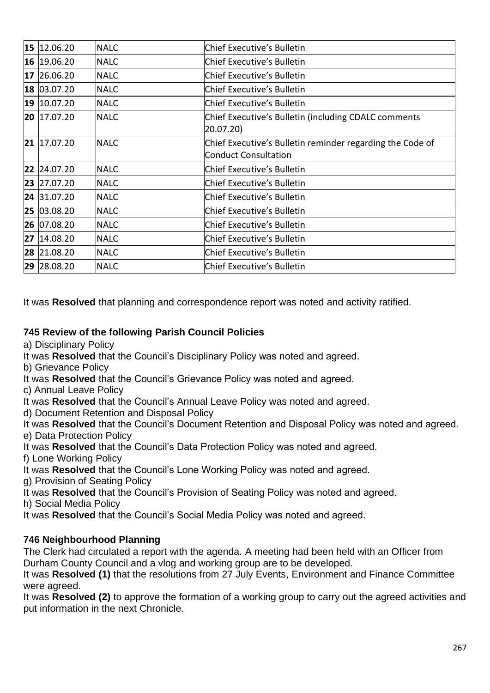| 15 | 12.06.20    | <b>NALC</b> | Chief Executive's Bulletin                                                               |
|----|-------------|-------------|------------------------------------------------------------------------------------------|
|    | 16 19.06.20 | <b>NALC</b> | Chief Executive's Bulletin                                                               |
| 17 | 26.06.20    | <b>NALC</b> | <b>Chief Executive's Bulletin</b>                                                        |
| 18 | 03.07.20    | <b>NALC</b> | Chief Executive's Bulletin                                                               |
|    | 19 10.07.20 | <b>NALC</b> | Chief Executive's Bulletin                                                               |
|    | 20 17.07.20 | <b>NALC</b> | Chief Executive's Bulletin (including CDALC comments<br>20.07.20)                        |
| 21 | 17.07.20    | <b>NALC</b> | Chief Executive's Bulletin reminder regarding the Code of<br><b>Conduct Consultation</b> |
| 22 | 24.07.20    | <b>NALC</b> | Chief Executive's Bulletin                                                               |
|    | 23 27.07.20 | <b>NALC</b> | Chief Executive's Bulletin                                                               |
| 24 | 31.07.20    | <b>NALC</b> | Chief Executive's Bulletin                                                               |
|    | 25 03.08.20 | <b>NALC</b> | Chief Executive's Bulletin                                                               |
|    | 26 07.08.20 | <b>NALC</b> | <b>Chief Executive's Bulletin</b>                                                        |
| 27 | 14.08.20    | <b>NALC</b> | <b>Chief Executive's Bulletin</b>                                                        |
|    | 28 21.08.20 | <b>NALC</b> | Chief Executive's Bulletin                                                               |
|    | 29 28.08.20 | <b>NALC</b> | Chief Executive's Bulletin                                                               |

It was **Resolved** that planning and correspondence report was noted and activity ratified.

# **745 Review of the following Parish Council Policies**

a) Disciplinary Policy

It was **Resolved** that the Council's Disciplinary Policy was noted and agreed.

b) Grievance Policy

It was **Resolved** that the Council's Grievance Policy was noted and agreed.

c) Annual Leave Policy

It was **Resolved** that the Council's Annual Leave Policy was noted and agreed.

d) Document Retention and Disposal Policy

It was **Resolved** that the Council's Document Retention and Disposal Policy was noted and agreed. e) Data Protection Policy

It was **Resolved** that the Council's Data Protection Policy was noted and agreed.

f) Lone Working Policy

It was **Resolved** that the Council's Lone Working Policy was noted and agreed.

g) Provision of Seating Policy

It was **Resolved** that the Council's Provision of Seating Policy was noted and agreed.

h) Social Media Policy

It was **Resolved** that the Council's Social Media Policy was noted and agreed.

### **746 Neighbourhood Planning**

The Clerk had circulated a report with the agenda. A meeting had been held with an Officer from Durham County Council and a vlog and working group are to be developed.

It was **Resolved (1)** that the resolutions from 27 July Events, Environment and Finance Committee were agreed.

It was **Resolved (2)** to approve the formation of a working group to carry out the agreed activities and put information in the next Chronicle.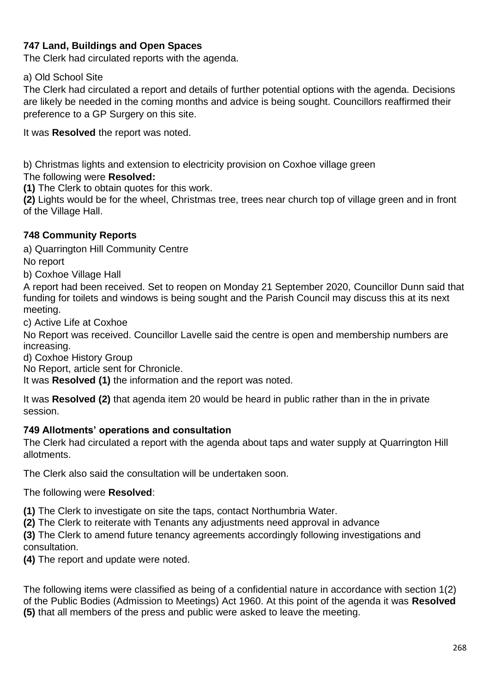# **747 Land, Buildings and Open Spaces**

The Clerk had circulated reports with the agenda.

#### a) Old School Site

The Clerk had circulated a report and details of further potential options with the agenda. Decisions are likely be needed in the coming months and advice is being sought. Councillors reaffirmed their preference to a GP Surgery on this site.

It was **Resolved** the report was noted.

b) Christmas lights and extension to electricity provision on Coxhoe village green

### The following were **Resolved:**

**(1)** The Clerk to obtain quotes for this work.

**(2)** Lights would be for the wheel, Christmas tree, trees near church top of village green and in front of the Village Hall.

### **748 Community Reports**

a) Quarrington Hill Community Centre No report

b) Coxhoe Village Hall

A report had been received. Set to reopen on Monday 21 September 2020, Councillor Dunn said that funding for toilets and windows is being sought and the Parish Council may discuss this at its next meeting.

c) Active Life at Coxhoe

No Report was received. Councillor Lavelle said the centre is open and membership numbers are increasing.

d) Coxhoe History Group

No Report, article sent for Chronicle.

It was **Resolved (1)** the information and the report was noted.

It was **Resolved (2)** that agenda item 20 would be heard in public rather than in the in private session.

#### **749 Allotments' operations and consultation**

The Clerk had circulated a report with the agenda about taps and water supply at Quarrington Hill allotments.

The Clerk also said the consultation will be undertaken soon.

The following were **Resolved**:

**(1)** The Clerk to investigate on site the taps, contact Northumbria Water.

**(2)** The Clerk to reiterate with Tenants any adjustments need approval in advance

**(3)** The Clerk to amend future tenancy agreements accordingly following investigations and consultation.

**(4)** The report and update were noted.

The following items were classified as being of a confidential nature in accordance with section 1(2) of the Public Bodies (Admission to Meetings) Act 1960. At this point of the agenda it was **Resolved (5)** that all members of the press and public were asked to leave the meeting.